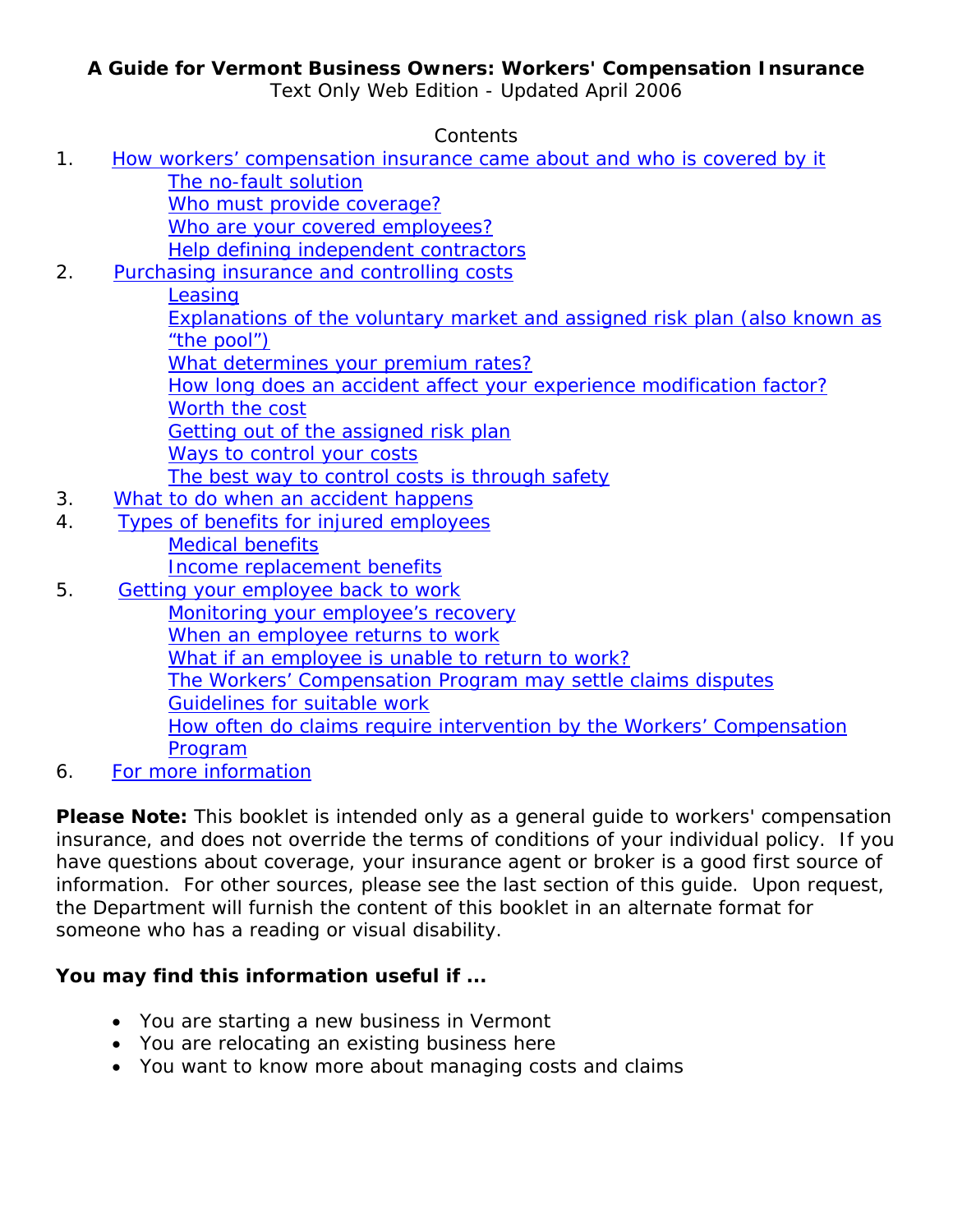### **A Guide for Vermont Business Owners: Workers' Compensation Insurance**

Text Only Web Edition - Updated April 2006

Contents

1. [How workers' compensation insurance came about and who is covered by it](#page-1-0) [The no-fault solution](#page-1-0) [Who must provide coverage?](#page-1-0) [Who are your covered employees?](#page-2-0) [Help defining independent contractors](#page-2-0) 2. [Purchasing insurance and controlling costs](#page-4-0) **[Leasing](#page-4-0)** [Explanations of the voluntary market and assigned risk plan \(also known as](#page-4-0)  ["the pool"\)](#page-4-0) [What determines your premium rates?](#page-4-0) [How long does an accident affect your experience modification factor?](#page-6-0) [Worth the cost](#page-6-0) [Getting out of the assigned risk plan](#page-6-0) [Ways to control your costs](#page-7-0) [The best way to control costs is through safety](#page-7-0) 3. [What to do when an accident happens](#page-8-0) 4. [Types of benefits for injured employees](#page-9-0) [Medical benefits](#page-9-0) [Income replacement benefits](#page-10-0) 5. [Getting your employee back to work](#page-11-0) [Monitoring your employee's recovery](#page-11-0) [When an employee returns to work](#page-12-0) [What if an employee is unable to return to work?](#page-12-0) [The Workers' Compensation Program may settle claims disputes](#page-12-0) Guidelines for suitable work [How often do claims require intervention by the Workers' Compensation](#page-12-0)  [Program](#page-12-0) 6. [For more information](#page-14-0)

**Please Note:** This booklet is intended only as a general guide to workers' compensation insurance, and does not override the terms of conditions of your individual policy. If you have questions about coverage, your insurance agent or broker is a good first source of information. For other sources, please see the last section of this guide. Upon request, the Department will furnish the content of this booklet in an alternate format for someone who has a reading or visual disability.

## **You may find this information useful if ...**

- You are starting a new business in Vermont
- You are relocating an existing business here
- You want to know more about managing costs and claims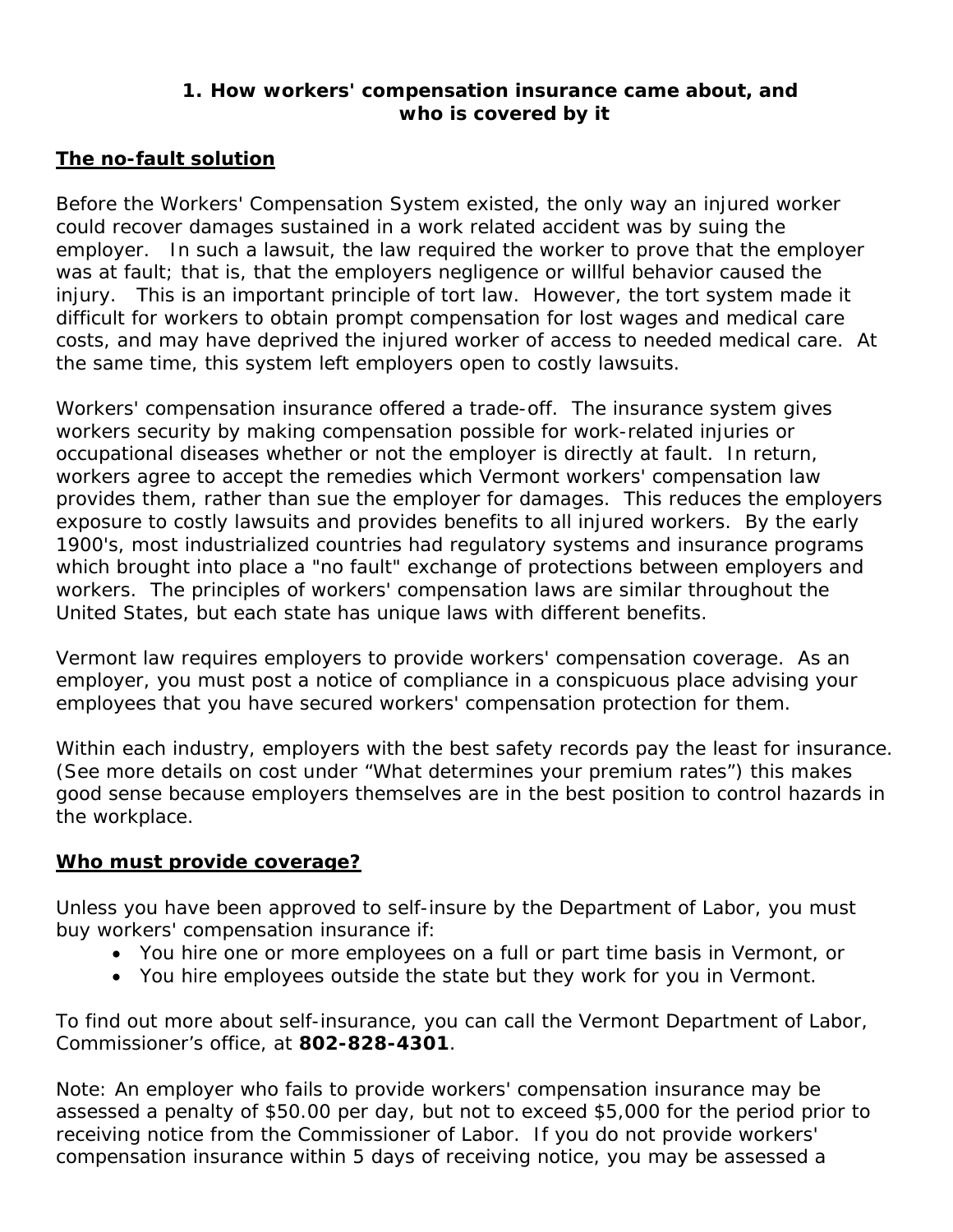### **1. How workers' compensation insurance came about, and who is covered by it**

### <span id="page-1-0"></span>**The no-fault solution**

Before the Workers' Compensation System existed, the only way an injured worker could recover damages sustained in a work related accident was by suing the employer. In such a lawsuit, the law required the worker to prove that the employer was at fault; that is, that the employers negligence or willful behavior caused the injury. This is an important principle of tort law. However, the tort system made it difficult for workers to obtain prompt compensation for lost wages and medical care costs, and may have deprived the injured worker of access to needed medical care. At the same time, this system left employers open to costly lawsuits.

Workers' compensation insurance offered a trade-off. The insurance system gives workers security by making compensation possible for work-related injuries or occupational diseases whether or not the employer is directly at fault. In return, workers agree to accept the remedies which Vermont workers' compensation law provides them, rather than sue the employer for damages. This reduces the employers exposure to costly lawsuits and provides benefits to all injured workers. By the early 1900's, most industrialized countries had regulatory systems and insurance programs which brought into place a "no fault" exchange of protections between employers and workers. The principles of workers' compensation laws are similar throughout the United States, but each state has unique laws with different benefits.

Vermont law requires employers to provide workers' compensation coverage. As an employer, you must post a notice of compliance in a conspicuous place advising your employees that you have secured workers' compensation protection for them.

Within each industry, employers with the best safety records pay the least for insurance. (See more details on cost under "What determines your premium rates") this makes good sense because employers themselves are in the best position to control hazards in the workplace.

### **Who must provide coverage?**

Unless you have been approved to self-insure by the Department of Labor, you must buy workers' compensation insurance if:

- You hire one or more employees on a full or part time basis in Vermont, or
- You hire employees outside the state but they work for you in Vermont.

To find out more about self-insurance, you can call the Vermont Department of Labor, Commissioner's office, at **802-828-4301**.

Note: An employer who fails to provide workers' compensation insurance may be assessed a penalty of \$50.00 per day, but not to exceed \$5,000 for the period prior to receiving notice from the Commissioner of Labor. If you do not provide workers' compensation insurance within 5 days of receiving notice, you may be assessed a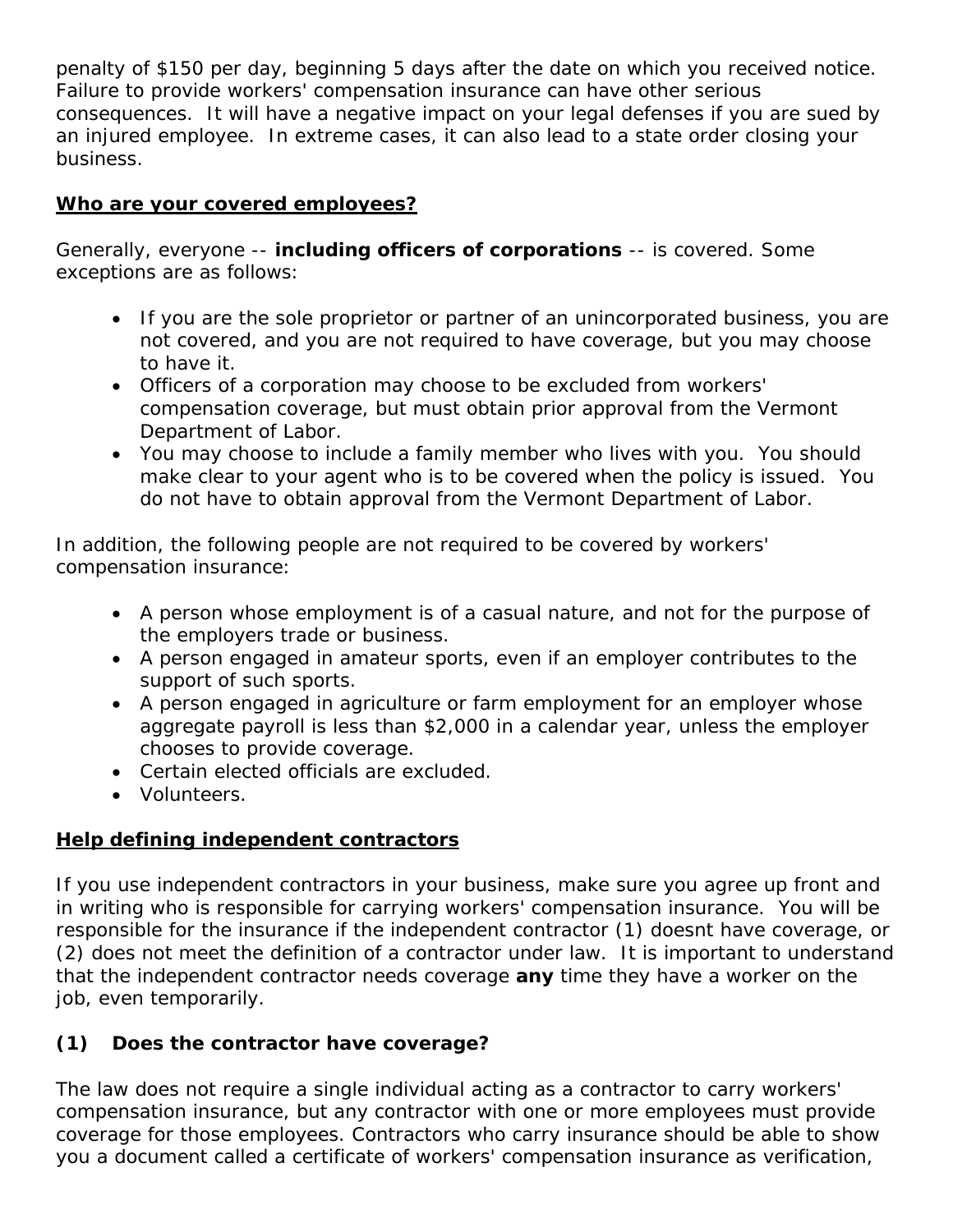<span id="page-2-0"></span>penalty of \$150 per day, beginning 5 days after the date on which you received notice. Failure to provide workers' compensation insurance can have other serious consequences. It will have a negative impact on your legal defenses if you are sued by an injured employee. In extreme cases, it can also lead to a state order closing your business.

### **Who are your covered employees?**

Generally, everyone -- **including officers of corporations** -- is covered. Some exceptions are as follows:

- If you are the sole proprietor or partner of an unincorporated business, you are not covered, and you are not required to have coverage, but you may choose to have it.
- Officers of a corporation may choose to be excluded from workers' compensation coverage, but must obtain prior approval from the Vermont Department of Labor.
- You may choose to include a family member who lives with you. You should make clear to your agent who is to be covered when the policy is issued. You do not have to obtain approval from the Vermont Department of Labor.

In addition, the following people are not required to be covered by workers' compensation insurance:

- A person whose employment is of a casual nature, and not for the purpose of the employers trade or business.
- A person engaged in amateur sports, even if an employer contributes to the support of such sports.
- A person engaged in agriculture or farm employment for an employer whose aggregate payroll is less than \$2,000 in a calendar year, unless the employer chooses to provide coverage.
- Certain elected officials are excluded.
- Volunteers.

## **Help defining independent contractors**

If you use independent contractors in your business, make sure you agree up front and in writing who is responsible for carrying workers' compensation insurance. You will be responsible for the insurance if the independent contractor (1) doesnt have coverage, or (2) does not meet the definition of a contractor under law. It is important to understand that the independent contractor needs coverage **any** time they have a worker on the job, even temporarily.

## **(1) Does the contractor have coverage?**

The law does not require a single individual acting as a contractor to carry workers' compensation insurance, but any contractor with one or more employees must provide coverage for those employees. Contractors who carry insurance should be able to show you a document called a certificate of workers' compensation insurance as verification,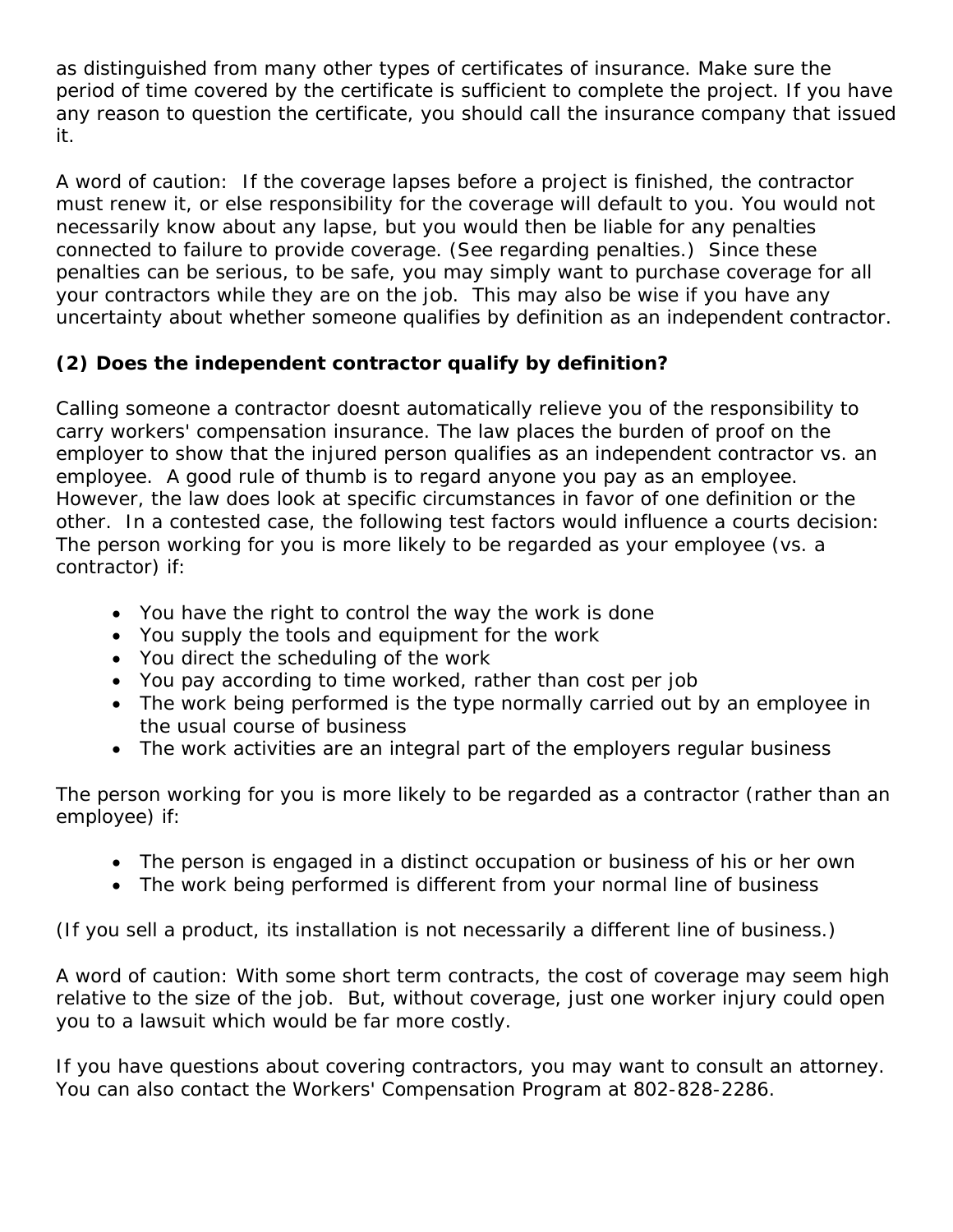as distinguished from many other types of certificates of insurance. Make sure the period of time covered by the certificate is sufficient to complete the project. If you have any reason to question the certificate, you should call the insurance company that issued it.

A word of caution: If the coverage lapses before a project is finished, the contractor must renew it, or else responsibility for the coverage will default to you. You would not necessarily know about any lapse, but you would then be liable for any penalties connected to failure to provide coverage. (See regarding penalties.) Since these penalties can be serious, to be safe, you may simply want to purchase coverage for all your contractors while they are on the job. This may also be wise if you have any uncertainty about whether someone qualifies by definition as an independent contractor.

## **(2) Does the independent contractor qualify by definition?**

Calling someone a contractor doesnt automatically relieve you of the responsibility to carry workers' compensation insurance. The law places the burden of proof on the employer to show that the injured person qualifies as an independent contractor vs. an employee. A good rule of thumb is to regard anyone you pay as an employee. However, the law does look at specific circumstances in favor of one definition or the other. In a contested case, the following test factors would influence a courts decision: The person working for you is more likely to be regarded as your employee (vs. a contractor) if:

- You have the right to control the way the work is done
- You supply the tools and equipment for the work
- You direct the scheduling of the work
- You pay according to time worked, rather than cost per job
- The work being performed is the type normally carried out by an employee in the usual course of business
- The work activities are an integral part of the employers regular business

The person working for you is more likely to be regarded as a contractor (rather than an employee) if:

- The person is engaged in a distinct occupation or business of his or her own
- The work being performed is different from your normal line of business

(If you sell a product, its installation is not necessarily a different line of business.)

*A word of caution:* With some short term contracts, the cost of coverage may seem high relative to the size of the job. But, without coverage, just one worker injury could open you to a lawsuit which would be far more costly.

If you have questions about covering contractors, you may want to consult an attorney. You can also contact the Workers' Compensation Program at 802-828-2286.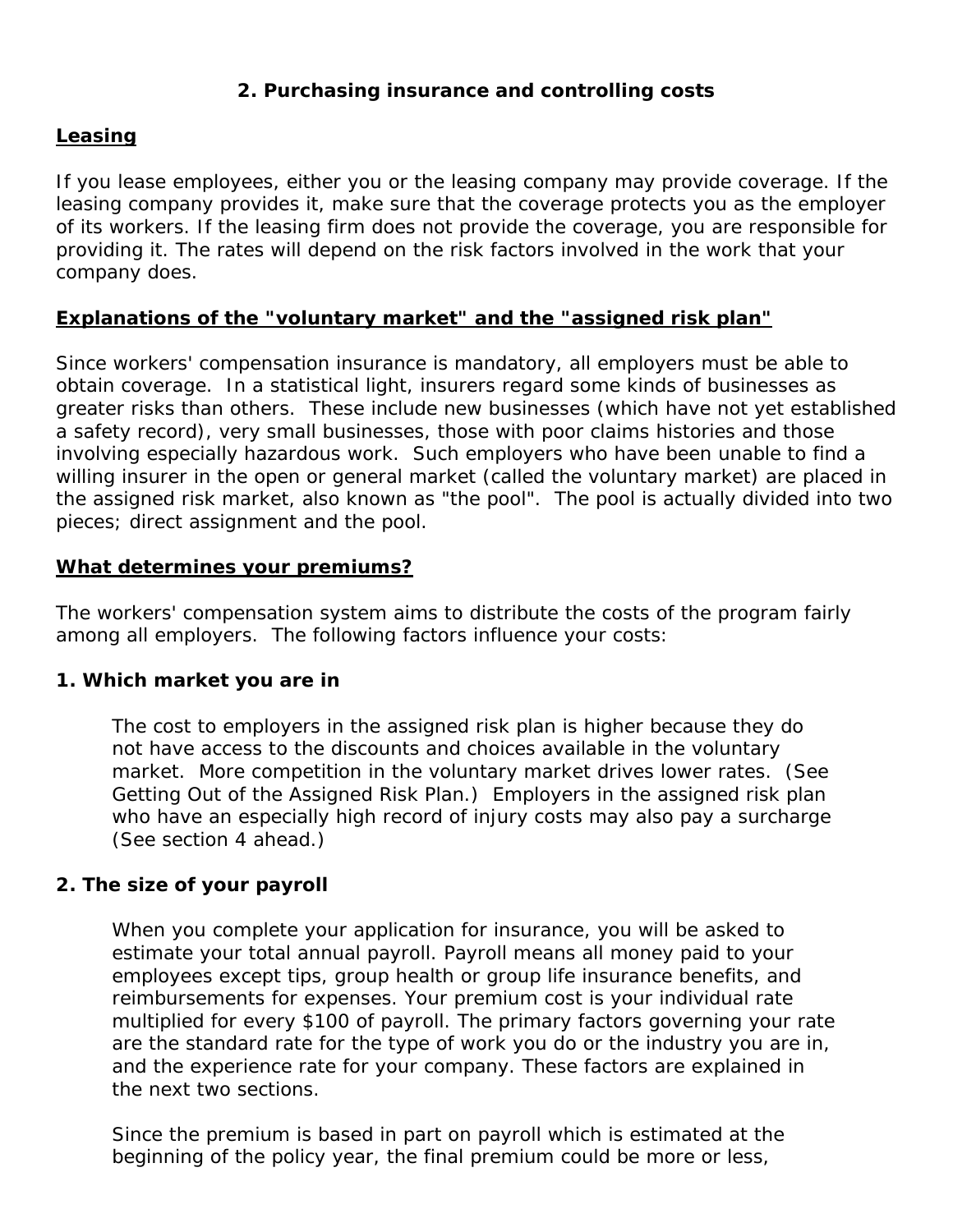### **2. Purchasing insurance and controlling costs**

### <span id="page-4-0"></span>**Leasing**

If you lease employees, either you or the leasing company may provide coverage. If the leasing company provides it, make sure that the coverage protects you as the employer of its workers. If the leasing firm does not provide the coverage, you are responsible for providing it. The rates will depend on the risk factors involved in the work that your company does.

### **Explanations of the "voluntary market" and the "assigned risk plan"**

Since workers' compensation insurance is mandatory, all employers must be able to obtain coverage. In a statistical light, insurers regard some kinds of businesses as greater risks than others. These include new businesses (which have not yet established a safety record), very small businesses, those with poor claims histories and those involving especially hazardous work. Such employers who have been unable to find a willing insurer in the open or general market (called the voluntary market) are placed in the assigned risk market, also known as "the pool". The pool is actually divided into two pieces; direct assignment and the pool.

### **What determines your premiums?**

The workers' compensation system aims to distribute the costs of the program fairly among all employers. The following factors influence your costs:

### **1. Which market you are in**

The cost to employers in the assigned risk plan is higher because they do not have access to the discounts and choices available in the voluntary market. More competition in the voluntary market drives lower rates. (See Getting Out of the Assigned Risk Plan.) Employers in the assigned risk plan who have an especially high record of injury costs may also pay a surcharge (See section 4 ahead.)

### **2. The size of your payroll**

When you complete your application for insurance, you will be asked to estimate your total annual payroll. Payroll means all money paid to your employees except tips, group health or group life insurance benefits, and reimbursements for expenses. Your premium cost is your individual rate multiplied for every \$100 of payroll. The primary factors governing your rate are the standard rate for the type of work you do or the industry you are in, and the experience rate for your company. These factors are explained in the next two sections.

Since the premium is based in part on payroll which is estimated at the beginning of the policy year, the final premium could be more or less,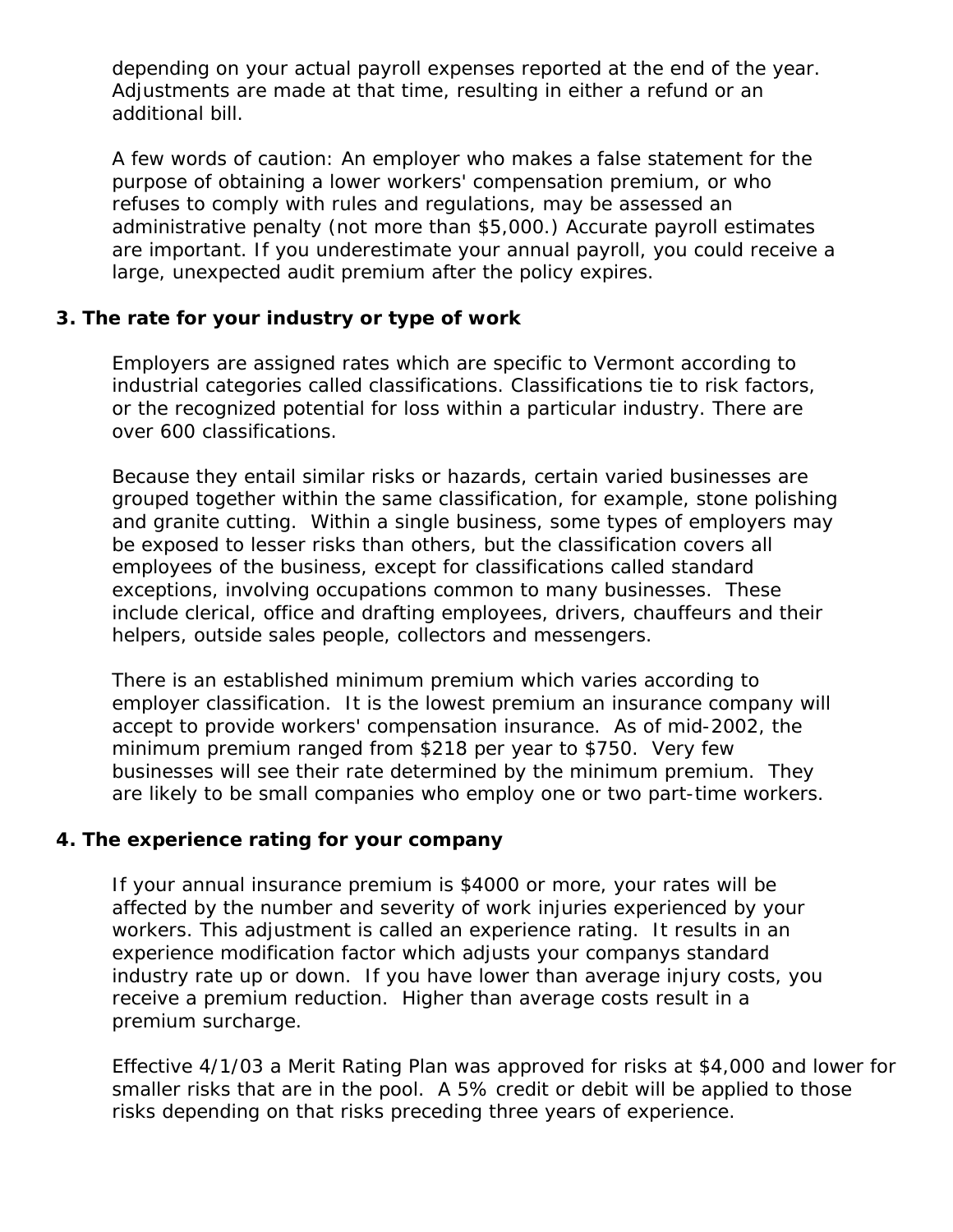depending on your actual payroll expenses reported at the end of the year. Adjustments are made at that time, resulting in either a refund or an additional bill.

A few words of caution: An employer who makes a false statement for the purpose of obtaining a lower workers' compensation premium, or who refuses to comply with rules and regulations, may be assessed an administrative penalty (not more than \$5,000.) Accurate payroll estimates are important. If you underestimate your annual payroll, you could receive a large, unexpected audit premium after the policy expires.

### **3. The rate for your industry or type of work**

Employers are assigned rates which are specific to Vermont according to industrial categories called classifications. Classifications tie to risk factors, or the recognized potential for loss within a particular industry. There are over 600 classifications.

Because they entail similar risks or hazards, certain varied businesses are grouped together within the same classification, for example, stone polishing and granite cutting. Within a single business, some types of employers may be exposed to lesser risks than others, but the classification covers all employees of the business, except for classifications called standard exceptions, involving occupations common to many businesses. These include clerical, office and drafting employees, drivers, chauffeurs and their helpers, outside sales people, collectors and messengers.

There is an established minimum premium which varies according to employer classification. It is the lowest premium an insurance company will accept to provide workers' compensation insurance. As of mid-2002, the minimum premium ranged from \$218 per year to \$750. Very few businesses will see their rate determined by the minimum premium. They are likely to be small companies who employ one or two part-time workers.

## **4. The experience rating for your company**

If your annual insurance premium is \$4000 or more, your rates will be affected by the number and severity of work injuries experienced by your workers. This adjustment is called an experience rating. It results in an experience modification factor which adjusts your companys standard industry rate up or down. If you have lower than average injury costs, you receive a premium reduction. Higher than average costs result in a premium surcharge.

Effective 4/1/03 a Merit Rating Plan was approved for risks at \$4,000 and lower for smaller risks that are in the pool. A 5% credit or debit will be applied to those risks depending on that risks preceding three years of experience.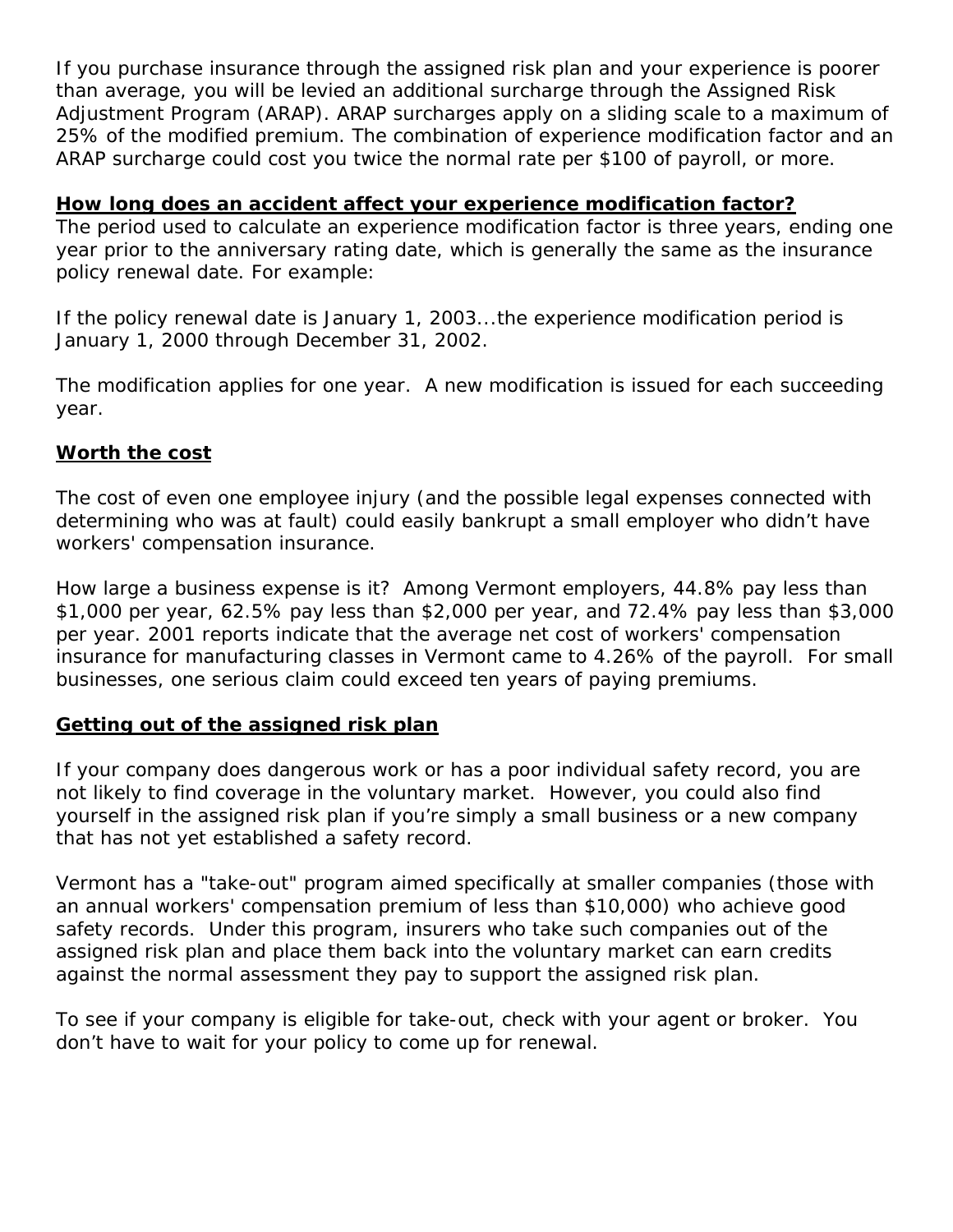<span id="page-6-0"></span>If you purchase insurance through the assigned risk plan and your experience is poorer than average, you will be levied an additional surcharge through the Assigned Risk Adjustment Program (ARAP). ARAP surcharges apply on a sliding scale to a maximum of 25% of the modified premium. The combination of experience modification factor and an ARAP surcharge could cost you twice the normal rate per \$100 of payroll, or more.

### **How long does an accident affect your experience modification factor?**

The period used to calculate an experience modification factor is three years, ending one year prior to the anniversary rating date, which is generally the same as the insurance policy renewal date. For example:

*If the policy renewal date is January 1, 2003...the experience modification period is January 1, 2000 through December 31, 2002.*

The modification applies for one year. A new modification is issued for each succeeding year.

### **Worth the cost**

The cost of even one employee injury (and the possible legal expenses connected with determining who was at fault) could easily bankrupt a small employer who didn't have workers' compensation insurance.

How large a business expense is it? Among Vermont employers, 44.8% pay less than \$1,000 per year, 62.5% pay less than \$2,000 per year, and 72.4% pay less than \$3,000 per year. 2001 reports indicate that the average net cost of workers' compensation insurance for manufacturing classes in Vermont came to 4.26% of the payroll. For small businesses, one serious claim could exceed ten years of paying premiums.

## **Getting out of the assigned risk plan**

If your company does dangerous work or has a poor individual safety record, you are not likely to find coverage in the voluntary market. However, you could also find yourself in the assigned risk plan if you're simply a small business or a new company that has not yet established a safety record.

Vermont has a "take-out" program aimed specifically at smaller companies (those with an annual workers' compensation premium of less than \$10,000) who achieve good safety records. Under this program, insurers who take such companies out of the assigned risk plan and place them back into the voluntary market can earn credits against the normal assessment they pay to support the assigned risk plan.

To see if your company is eligible for take-out, check with your agent or broker. You don't have to wait for your policy to come up for renewal.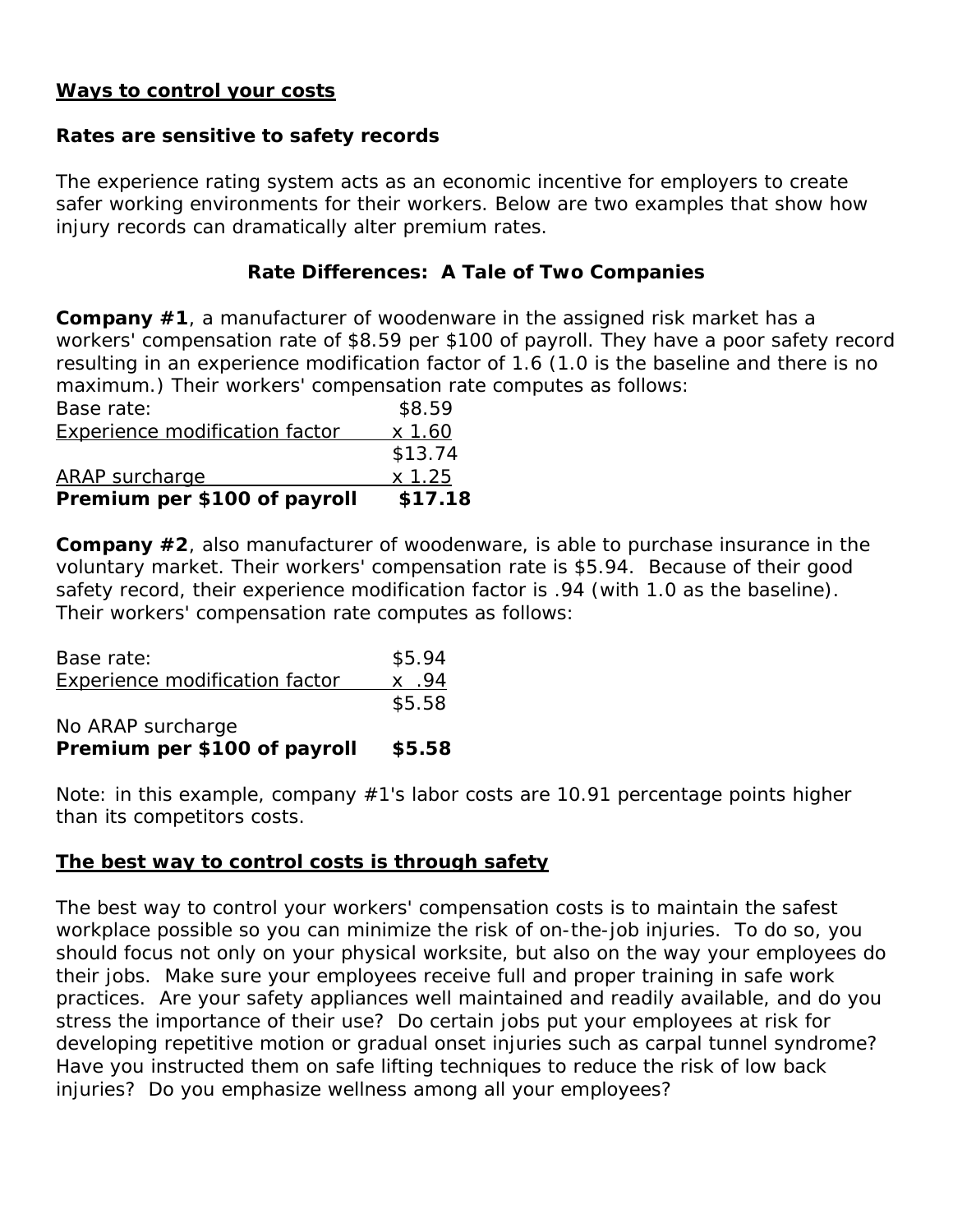#### <span id="page-7-0"></span>**Ways to control your costs**

## **Rates are sensitive to safety records**

The experience rating system acts as an economic incentive for employers to create safer working environments for their workers. Below are two examples that show how injury records can dramatically alter premium rates.

# **Rate Differences: A Tale of Two Companies**

**Company #1**, a manufacturer of woodenware in the assigned risk market has a workers' compensation rate of \$8.59 per \$100 of payroll. They have a poor safety record resulting in an experience modification factor of 1.6 (1.0 is the baseline and there is no maximum.) Their workers' compensation rate computes as follows:

| Premium per \$100 of payroll          | \$17.18   |
|---------------------------------------|-----------|
| <b>ARAP</b> surcharge                 | $x\,1.25$ |
|                                       | \$13.74   |
| <b>Experience modification factor</b> | $x$ 1.60  |
| Base rate:                            | \$8.59    |

**Company #2**, also manufacturer of woodenware, is able to purchase insurance in the voluntary market. Their workers' compensation rate is \$5.94. Because of their good safety record, their experience modification factor is .94 (with 1.0 as the baseline). Their workers' compensation rate computes as follows:

| Premium per \$100 of payroll          | \$5.58  |
|---------------------------------------|---------|
| No ARAP surcharge                     |         |
|                                       | \$5.58  |
| <b>Experience modification factor</b> | $x$ .94 |
| Base rate:                            | \$5.94  |
|                                       |         |

*Note: in this example, company #1's labor costs are 10.91 percentage points higher than its competitors costs.*

## **The best way to control costs is through safety**

The best way to control your workers' compensation costs is to maintain the safest workplace possible so you can minimize the risk of on-the-job injuries. To do so, you should focus not only on your physical worksite, but also on the way your employees do their jobs. Make sure your employees receive full and proper training in safe work practices. Are your safety appliances well maintained and readily available, and do you stress the importance of their use? Do certain jobs put your employees at risk for developing repetitive motion or gradual onset injuries such as carpal tunnel syndrome? Have you instructed them on safe lifting techniques to reduce the risk of low back injuries? Do you emphasize wellness among all your employees?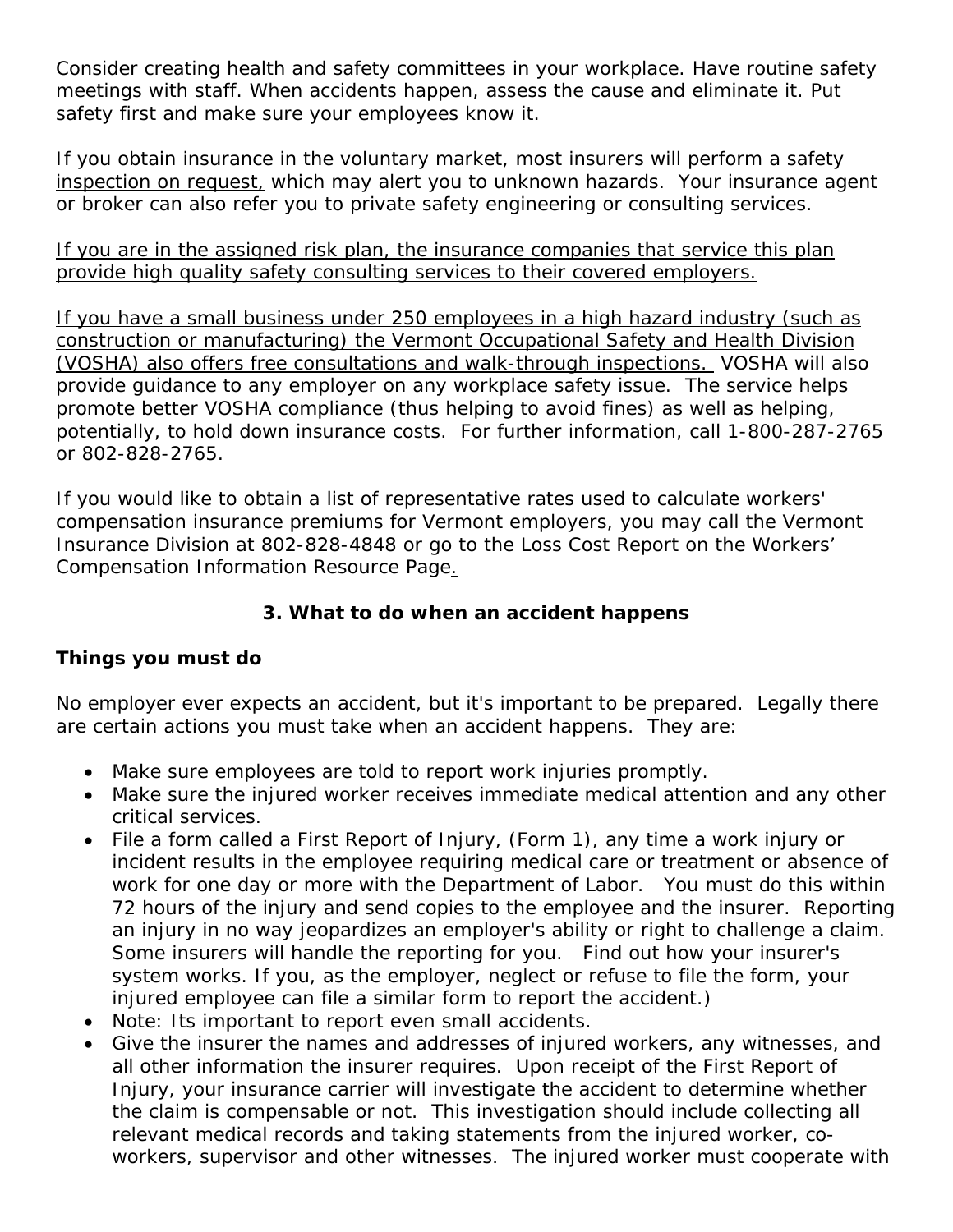<span id="page-8-0"></span>Consider creating health and safety committees in your workplace. Have routine safety meetings with staff. When accidents happen, assess the cause and eliminate it. Put safety first and make sure your employees know it.

If you obtain insurance in the voluntary market, most insurers will perform a safety inspection on request, which may alert you to unknown hazards. Your insurance agent or broker can also refer you to private safety engineering or consulting services.

If you are in the assigned risk plan, the insurance companies that service this plan provide high quality safety consulting services to their covered employers.

If you have a small business under 250 employees in a high hazard industry (such as construction or manufacturing) the Vermont Occupational Safety and Health Division (VOSHA) also offers free consultations and walk-through inspections. VOSHA will also provide guidance to any employer on any workplace safety issue. The service helps promote better VOSHA compliance (thus helping to avoid fines) as well as helping, potentially, to hold down insurance costs. For further information, call 1-800-287-2765 or 802-828-2765.

If you would like to obtain a list of representative rates used to calculate workers' compensation insurance premiums for Vermont employers, you may call the Vermont Insurance Division at 802-828-4848 or go to the Loss Cost Report on the Workers' Compensation Information Resource Page[.](http://www.bishca.state.vt.us/InsurDiv/Workers_comp_resources/workerscomp_resources.htm)

## **3. What to do when an accident happens**

## **Things you must do**

No employer ever expects an accident, but it's important to be prepared. Legally there are certain actions you must take when an accident happens. They are:

- Make sure employees are told to report work injuries promptly.
- Make sure the injured worker receives immediate medical attention and any other critical services.
- File a form called a First Report of Injury, (Form 1), any time a work injury or incident results in the employee requiring medical care or treatment or absence of work for one day or more with the Department of Labor. You must do this within 72 hours of the injury and send copies to the employee and the insurer. Reporting an injury in no way jeopardizes an employer's ability or right to challenge a claim. Some insurers will handle the reporting for you. Find out how your insurer's system works. If you, as the employer, neglect or refuse to file the form, your injured employee can file a similar form to report the accident.)
- *Note: Its important to report even small accidents.*
- Give the insurer the names and addresses of injured workers, any witnesses, and all other information the insurer requires. Upon receipt of the First Report of Injury, your insurance carrier will investigate the accident to determine whether the claim is compensable or not. This investigation should include collecting all relevant medical records and taking statements from the injured worker, coworkers, supervisor and other witnesses. The injured worker must cooperate with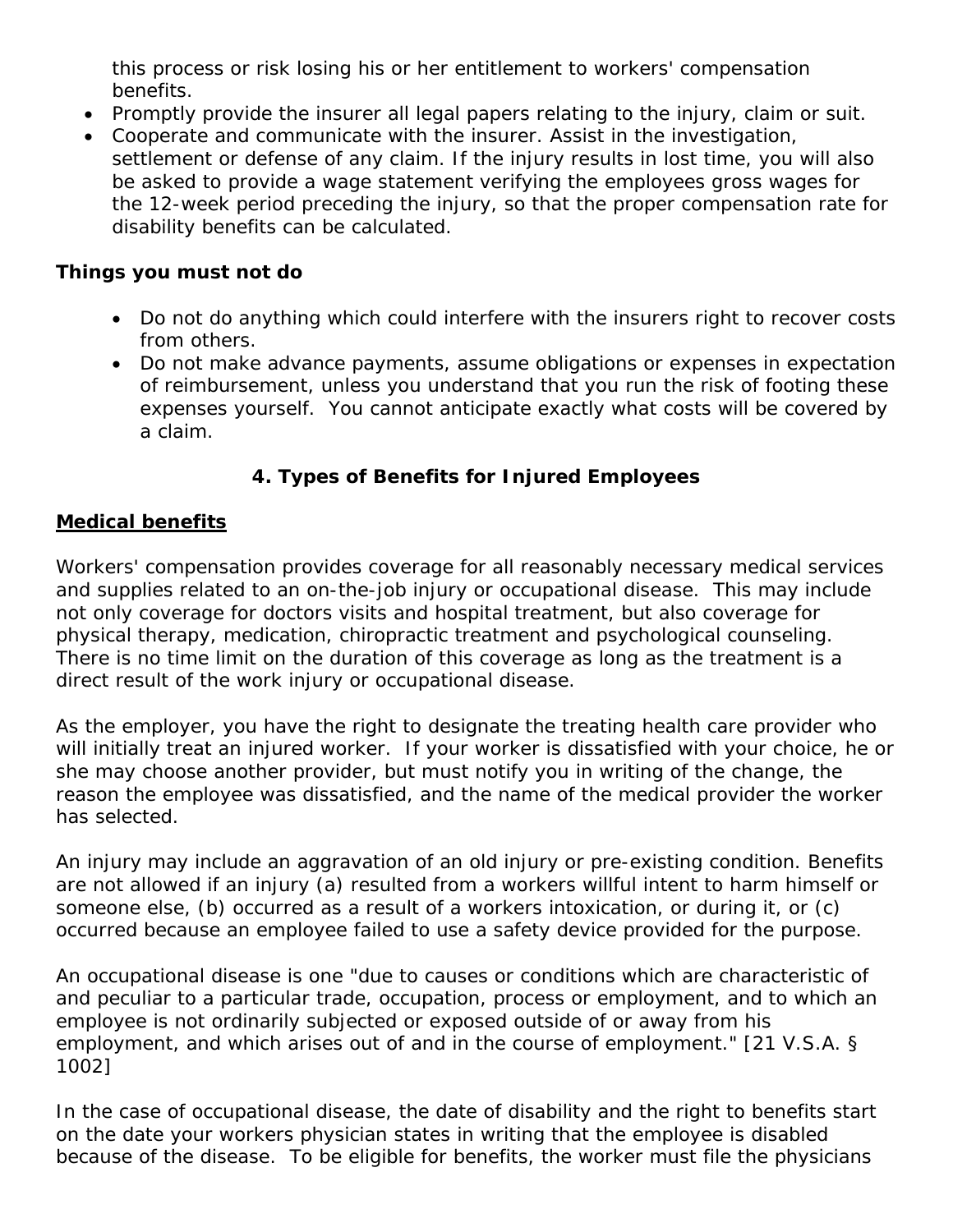<span id="page-9-0"></span>this process or risk losing his or her entitlement to workers' compensation benefits.

- Promptly provide the insurer all legal papers relating to the injury, claim or suit.
- Cooperate and communicate with the insurer. Assist in the investigation, settlement or defense of any claim. If the injury results in lost time, you will also be asked to provide a wage statement verifying the employees gross wages for the 12-week period preceding the injury, so that the proper compensation rate for disability benefits can be calculated.

## **Things you must not do**

- Do not do anything which could interfere with the insurers right to recover costs from others.
- Do not make advance payments, assume obligations or expenses in expectation of reimbursement, unless you understand that you run the risk of footing these expenses yourself. You cannot anticipate exactly what costs will be covered by a claim.

# **4. Types of Benefits for Injured Employees**

## **Medical benefits**

Workers' compensation provides coverage for all reasonably necessary medical services and supplies related to an on-the-job injury or occupational disease. This may include not only coverage for doctors visits and hospital treatment, but also coverage for physical therapy, medication, chiropractic treatment and psychological counseling. There is no time limit on the duration of this coverage as long as the treatment is a direct result of the work injury or occupational disease.

As the employer, you have the right to designate the treating health care provider who will initially treat an injured worker. If your worker is dissatisfied with your choice, he or she may choose another provider, but must notify you in writing of the change, the reason the employee was dissatisfied, and the name of the medical provider the worker has selected.

An injury may include an aggravation of an old injury or pre-existing condition. Benefits are not allowed if an injury (a) resulted from a workers willful intent to harm himself or someone else, (b) occurred as a result of a workers intoxication, or during it, or (c) occurred because an employee failed to use a safety device provided for the purpose.

An occupational disease is one "due to causes or conditions which are characteristic of and peculiar to a particular trade, occupation, process or employment, and to which an employee is not ordinarily subjected or exposed outside of or away from his employment, and which arises out of and in the course of employment." [21 V.S.A. § 1002]

In the case of occupational disease, the date of disability and the right to benefits start on the date your workers physician states in writing that the employee is disabled because of the disease. To be eligible for benefits, the worker must file the physicians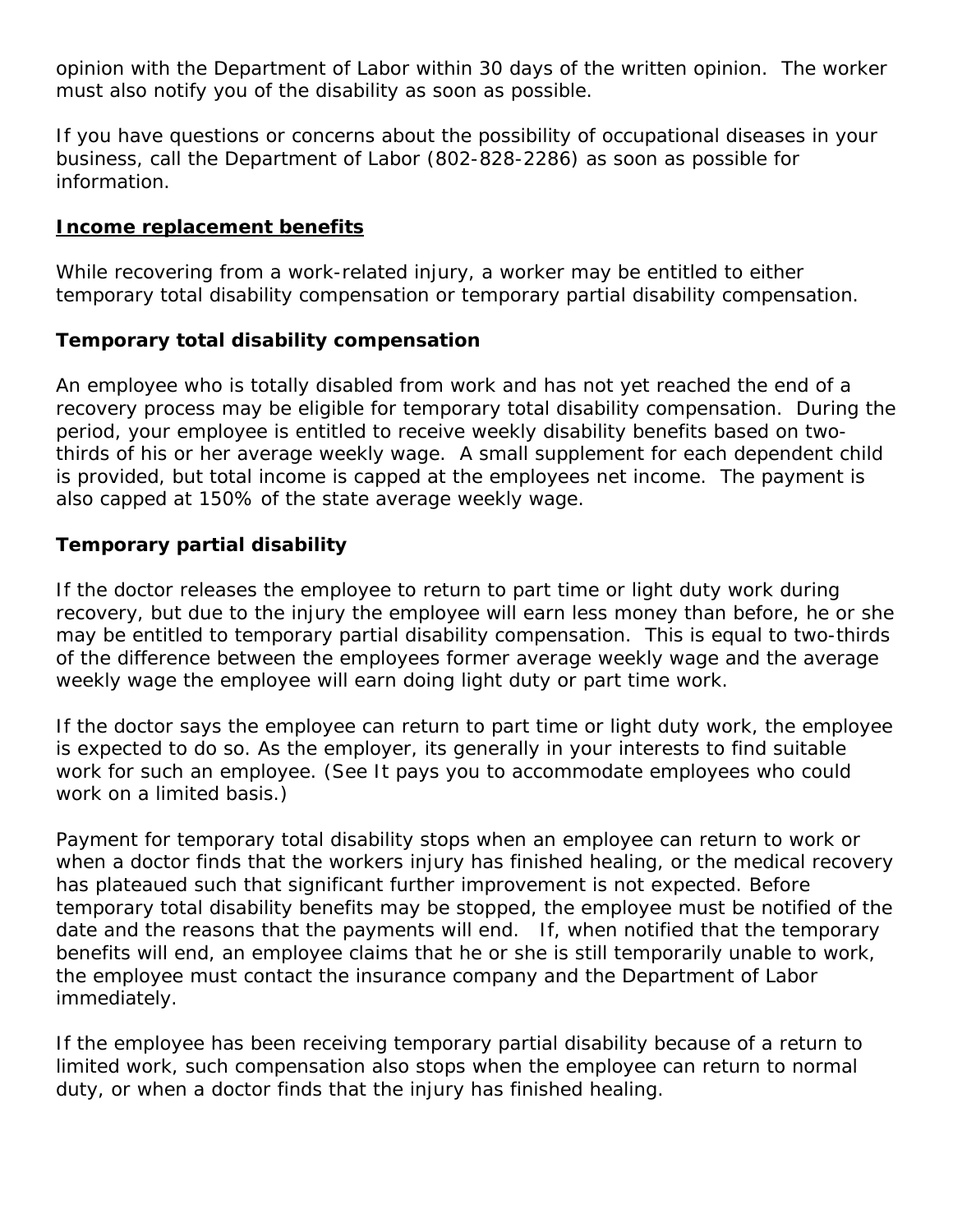<span id="page-10-0"></span>opinion with the Department of Labor within 30 days of the written opinion. The worker must also notify you of the disability as soon as possible.

If you have questions or concerns about the possibility of occupational diseases in your business, call the Department of Labor (802-828-2286) as soon as possible for information.

### **Income replacement benefits**

While recovering from a work-related injury, a worker may be entitled to either temporary total disability compensation or temporary partial disability compensation.

### **Temporary total disability compensation**

An employee who is totally disabled from work and has not yet reached the end of a recovery process may be eligible for temporary total disability compensation. During the period, your employee is entitled to receive weekly disability benefits based on twothirds of his or her average weekly wage. A small supplement for each dependent child is provided, but total income is capped at the employees net income. The payment is also capped at 150% of the state average weekly wage.

### **Temporary partial disability**

If the doctor releases the employee to return to part time or light duty work during recovery, but due to the injury the employee will earn less money than before, he or she may be entitled to temporary partial disability compensation. This is equal to two-thirds of the difference between the employees former average weekly wage and the average weekly wage the employee will earn doing light duty or part time work.

If the doctor says the employee can return to part time or light duty work, the employee is expected to do so. As the employer, its generally in your interests to find suitable work for such an employee. (See It pays you to accommodate employees who could work on a limited basis.)

Payment for temporary total disability stops when an employee can return to work or when a doctor finds that the workers injury has finished healing, or the medical recovery has plateaued such that significant further improvement is not expected. Before temporary total disability benefits may be stopped, the employee must be notified of the date and the reasons that the payments will end. If, when notified that the temporary benefits will end, an employee claims that he or she is still temporarily unable to work, the employee must contact the insurance company and the Department of Labor immediately.

If the employee has been receiving temporary partial disability because of a return to limited work, such compensation also stops when the employee can return to normal duty, or when a doctor finds that the injury has finished healing.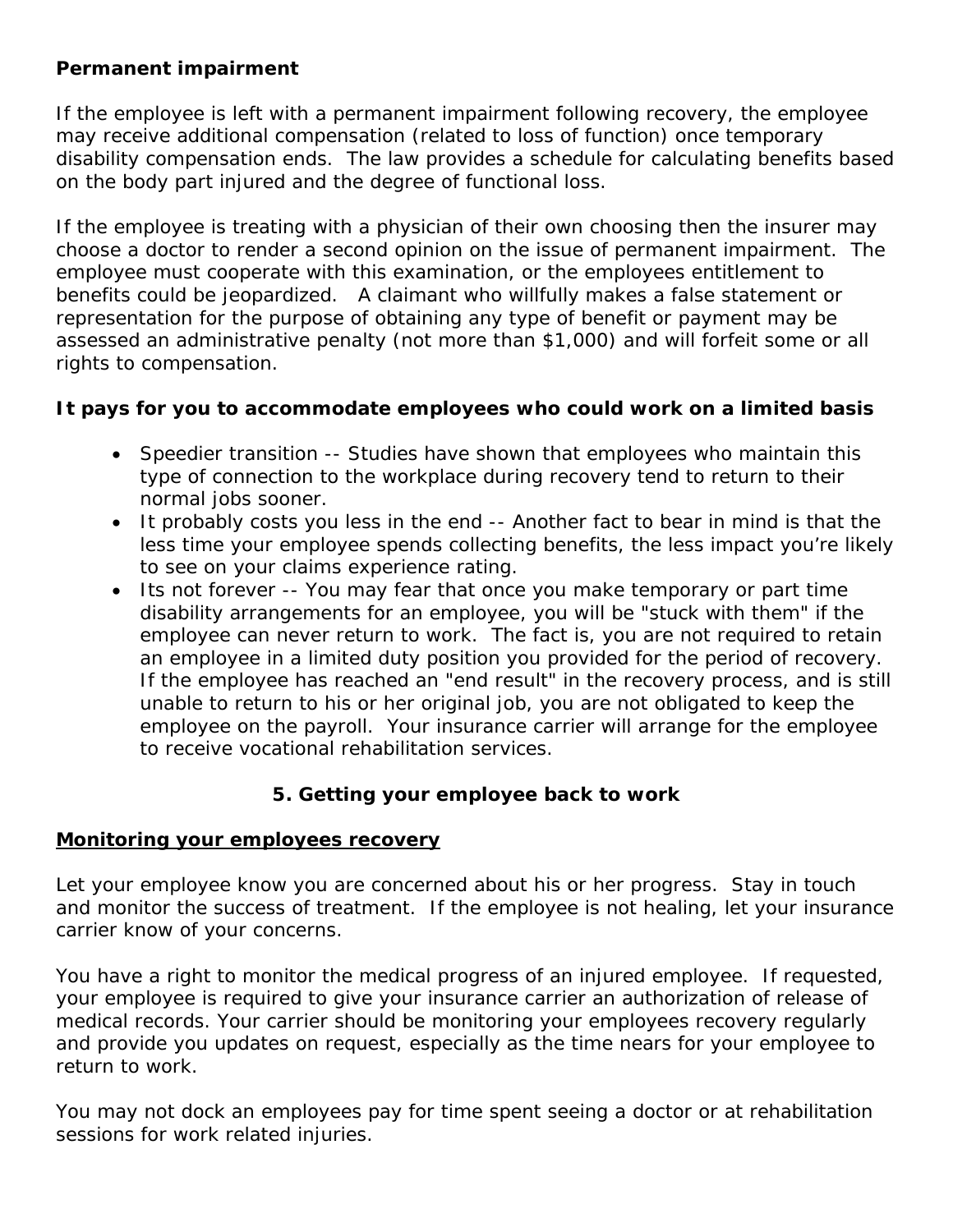### <span id="page-11-0"></span>**Permanent impairment**

If the employee is left with a permanent impairment following recovery, the employee may receive additional compensation (related to loss of function) once temporary disability compensation ends. The law provides a schedule for calculating benefits based on the body part injured and the degree of functional loss.

If the employee is treating with a physician of their own choosing then the insurer may choose a doctor to render a second opinion on the issue of permanent impairment. The employee must cooperate with this examination, or the employees entitlement to benefits could be jeopardized. A claimant who willfully makes a false statement or representation for the purpose of obtaining any type of benefit or payment may be assessed an administrative penalty (not more than \$1,000) and will forfeit some or all rights to compensation.

### **It pays for you to accommodate employees who could work on a limited basis**

- Speedier transition -- Studies have shown that employees who maintain this type of connection to the workplace during recovery tend to return to their normal jobs sooner.
- It probably costs you less in the end -- Another fact to bear in mind is that the less time your employee spends collecting benefits, the less impact you're likely to see on your claims experience rating.
- Its not forever -- You may fear that once you make temporary or part time disability arrangements for an employee, you will be "stuck with them" if the employee can never return to work. The fact is, you are not required to retain an employee in a limited duty position you provided for the period of recovery. If the employee has reached an "end result" in the recovery process, and is still unable to return to his or her original job, you are not obligated to keep the employee on the payroll. Your insurance carrier will arrange for the employee to receive vocational rehabilitation services.

### **5. Getting your employee back to work**

#### **Monitoring your employees recovery**

Let your employee know you are concerned about his or her progress. Stay in touch and monitor the success of treatment. If the employee is not healing, let your insurance carrier know of your concerns.

You have a right to monitor the medical progress of an injured employee. If requested, your employee is required to give your insurance carrier an authorization of release of medical records. Your carrier should be monitoring your employees recovery regularly and provide you updates on request, especially as the time nears for your employee to return to work.

You may not dock an employees pay for time spent seeing a doctor or at rehabilitation sessions for work related injuries.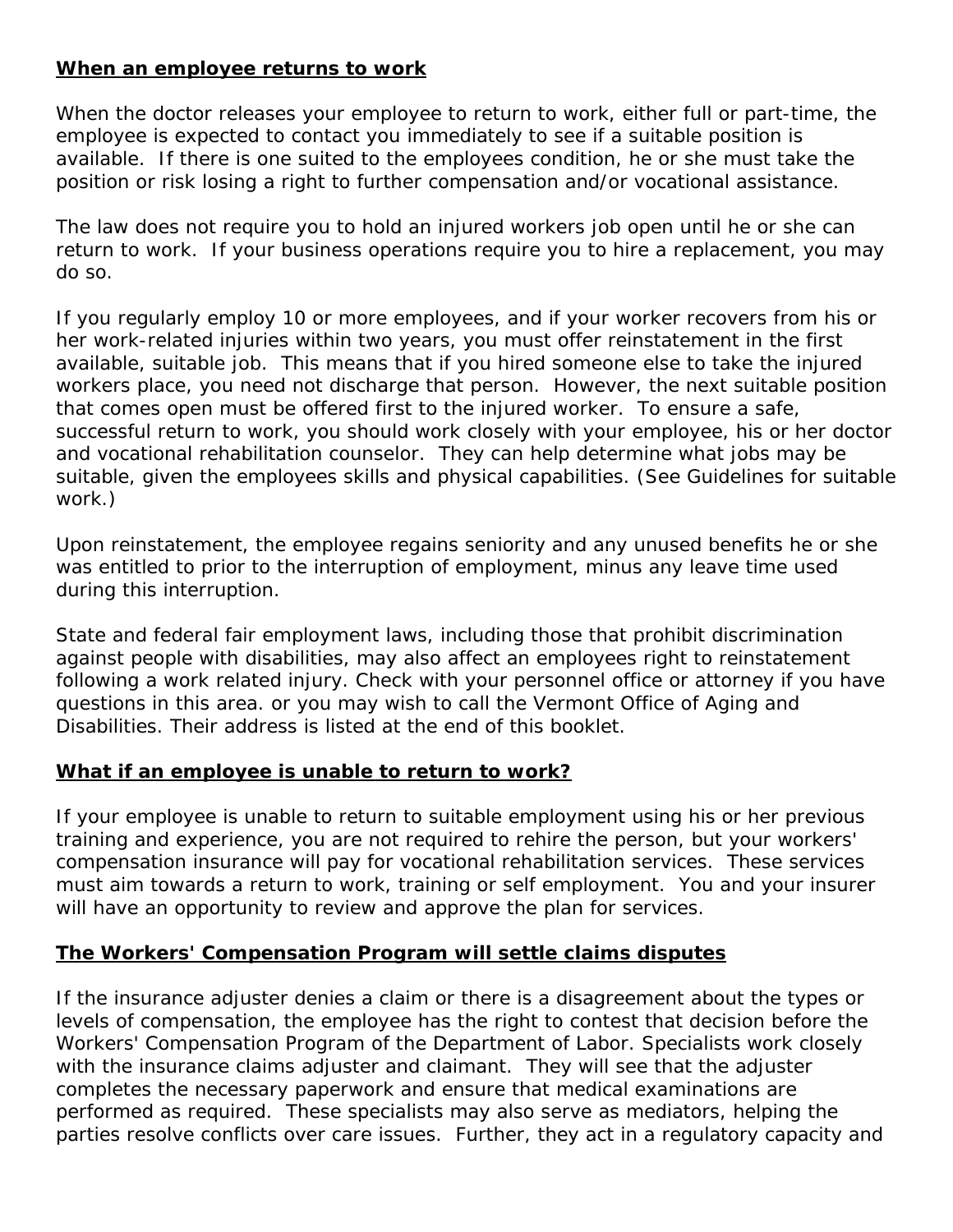### <span id="page-12-0"></span>**When an employee returns to work**

When the doctor releases your employee to return to work, either full or part-time, the employee is expected to contact you immediately to see if a suitable position is available. If there is one suited to the employees condition, he or she must take the position or risk losing a right to further compensation and/or vocational assistance.

The law does not require you to hold an injured workers job open until he or she can return to work. If your business operations require you to hire a replacement, you may do so.

If you regularly employ 10 or more employees, and if your worker recovers from his or her work-related injuries within two years, you must offer reinstatement in the first available, suitable job. This means that if you hired someone else to take the injured workers place, you need not discharge that person. However, the next suitable position that comes open must be offered first to the injured worker. To ensure a safe, successful return to work, you should work closely with your employee, his or her doctor and vocational rehabilitation counselor. They can help determine what jobs may be suitable, given the employees skills and physical capabilities. (See Guidelines for suitable work.)

Upon reinstatement, the employee regains seniority and any unused benefits he or she was entitled to prior to the interruption of employment, minus any leave time used during this interruption.

State and federal fair employment laws, including those that prohibit discrimination against people with disabilities, may also affect an employees right to reinstatement following a work related injury. Check with your personnel office or attorney if you have questions in this area. or you may wish to call the Vermont Office of Aging and Disabilities. Their address is listed at the end of this booklet.

### **What if an employee is unable to return to work?**

If your employee is unable to return to suitable employment using his or her previous training and experience, you are not required to rehire the person, but your workers' compensation insurance will pay for vocational rehabilitation services. These services must aim towards a return to work, training or self employment. You and your insurer will have an opportunity to review and approve the plan for services.

## **The Workers' Compensation Program will settle claims disputes**

If the insurance adjuster denies a claim or there is a disagreement about the types or levels of compensation, the employee has the right to contest that decision before the Workers' Compensation Program of the Department of Labor. Specialists work closely with the insurance claims adjuster and claimant. They will see that the adjuster completes the necessary paperwork and ensure that medical examinations are performed as required. These specialists may also serve as mediators, helping the parties resolve conflicts over care issues. Further, they act in a regulatory capacity and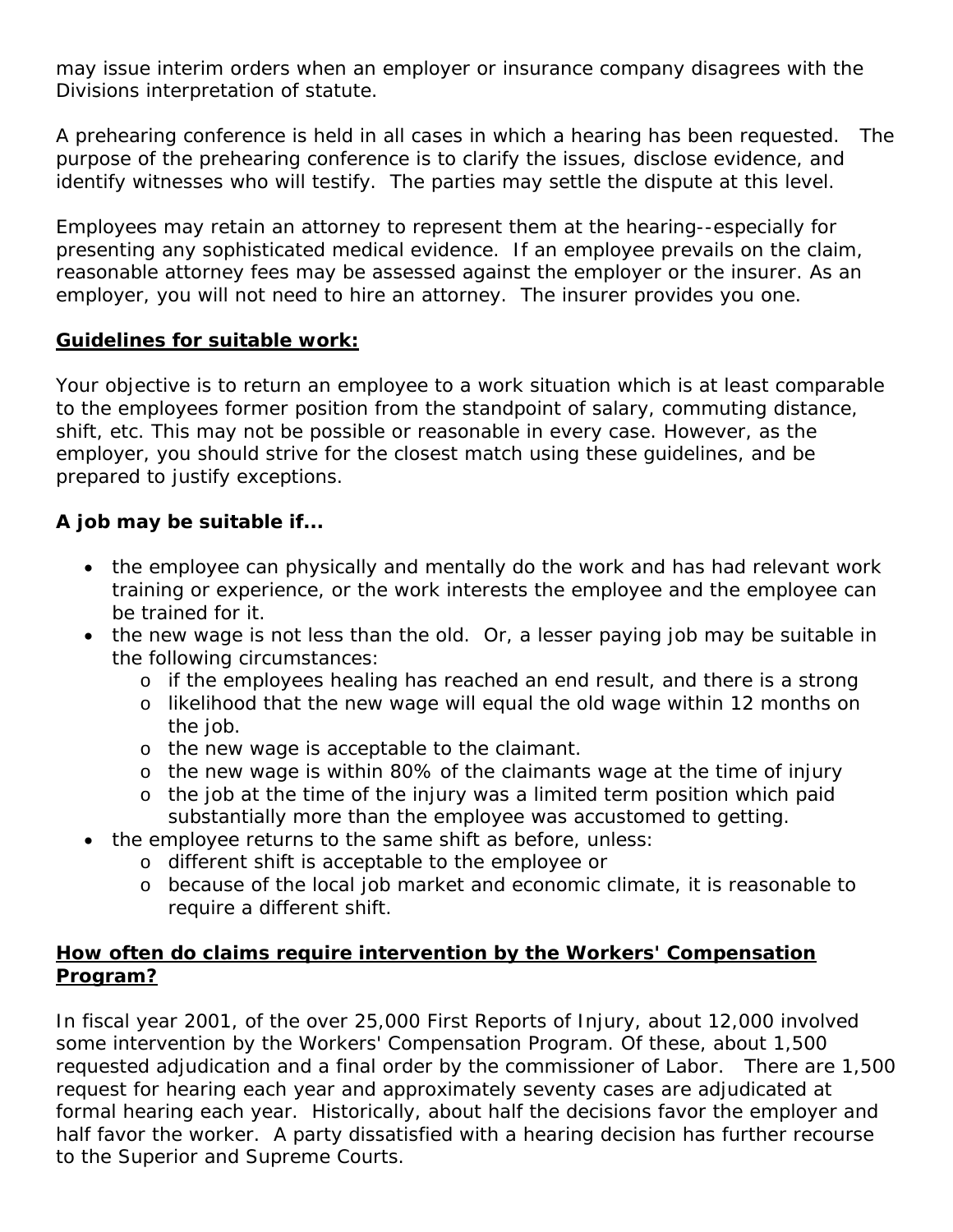may issue interim orders when an employer or insurance company disagrees with the Divisions interpretation of statute.

A prehearing conference is held in all cases in which a hearing has been requested. The purpose of the prehearing conference is to clarify the issues, disclose evidence, and identify witnesses who will testify. The parties may settle the dispute at this level.

Employees may retain an attorney to represent them at the hearing--especially for presenting any sophisticated medical evidence. If an employee prevails on the claim, reasonable attorney fees may be assessed against the employer or the insurer. As an employer, you will not need to hire an attorney. The insurer provides you one.

### **Guidelines for suitable work:**

Your objective is to return an employee to a work situation which is at least comparable to the employees former position from the standpoint of salary, commuting distance, shift, etc. This may not be possible or reasonable in every case. However, as the employer, you should strive for the closest match using these guidelines, and be prepared to justify exceptions.

### **A job may be suitable if...**

- the employee can physically and mentally do the work and has had relevant work training or experience, or the work interests the employee and the employee can be trained for it.
- the new wage is not less than the old. Or, a lesser paying job may be suitable in the following circumstances:
	- o if the employees healing has reached an end result, and there is a strong
	- o likelihood that the new wage will equal the old wage within 12 months on the job.
	- o the new wage is acceptable to the claimant.
	- o the new wage is within 80% of the claimants wage at the time of injury
	- o the job at the time of the injury was a limited term position which paid substantially more than the employee was accustomed to getting.
- the employee returns to the same shift as before, unless:
	- o different shift is acceptable to the employee or
	- o because of the local job market and economic climate, it is reasonable to require a different shift.

### **How often do claims require intervention by the Workers' Compensation Program?**

In fiscal year 2001, of the over 25,000 First Reports of Injury, about 12,000 involved some intervention by the Workers' Compensation Program. Of these, about 1,500 requested adjudication and a final order by the commissioner of Labor. There are 1,500 request for hearing each year and approximately seventy cases are adjudicated at formal hearing each year. Historically, about half the decisions favor the employer and half favor the worker. A party dissatisfied with a hearing decision has further recourse to the Superior and Supreme Courts.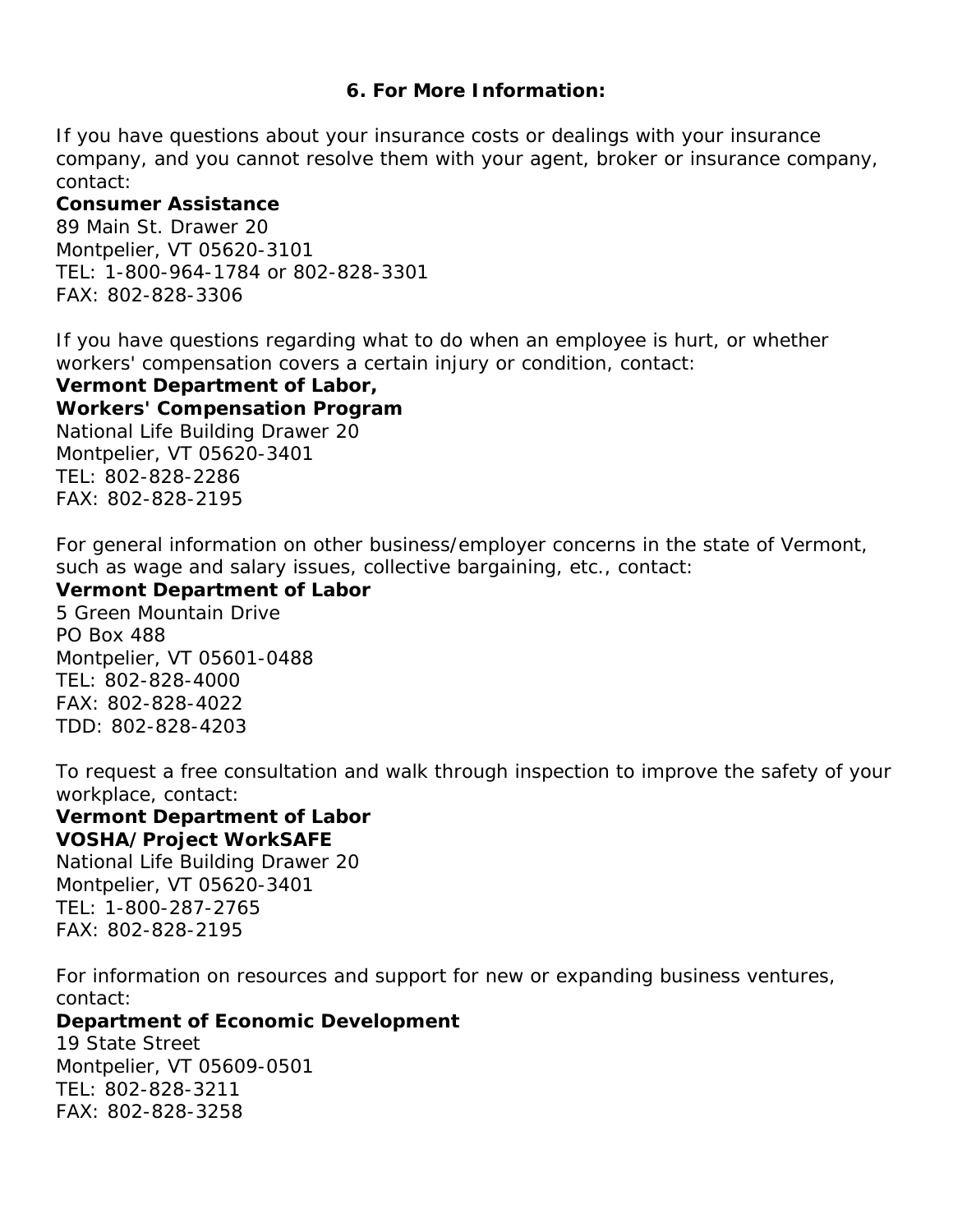#### **6. For More Information:**

<span id="page-14-0"></span>*If you have questions about your insurance costs or dealings with your insurance company, and you cannot resolve them with your agent, broker or insurance company, contact:* 

#### **Consumer Assistance**

89 Main St. Drawer 20 Montpelier, VT 05620-3101 TEL: 1-800-964-1784 or 802-828-3301 FAX: 802-828-3306

*If you have questions regarding what to do when an employee is hurt, or whether workers' compensation covers a certain injury or condition, contact:* 

**Vermont Department of Labor, Workers' Compensation Program**  National Life Building Drawer 20 Montpelier, VT 05620-3401 TEL: 802-828-2286 FAX: 802-828-2195

*For general information on other business/employer concerns in the state of Vermont, such as wage and salary issues, collective bargaining, etc., contact:* 

**Vermont Department of Labor**  5 Green Mountain Drive PO Box 488 Montpelier, VT 05601-0488 TEL: 802-828-4000 FAX: 802-828-4022 TDD: 802-828-4203

*To request a free consultation and walk through inspection to improve the safety of your workplace, contact:* 

## **Vermont Department of Labor VOSHA/Project WorkSAFE**

National Life Building Drawer 20 Montpelier, VT 05620-3401 TEL: 1-800-287-2765 FAX: 802-828-2195

*For information on resources and support for new or expanding business ventures, contact:* 

#### **Department of Economic Development**

19 State Street Montpelier, VT 05609-0501 TEL: 802-828-3211 FAX: 802-828-3258